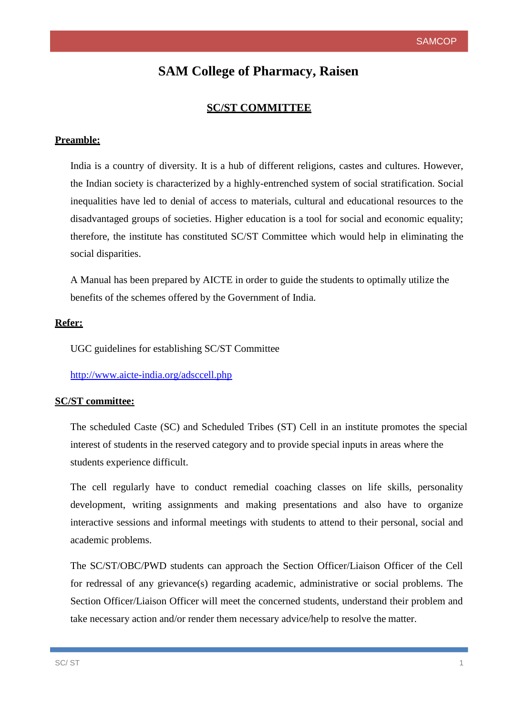# **SAM College of Pharmacy, Raisen**

# **SC/ST COMMITTEE**

### **Preamble:**

India is a country of diversity. It is a hub of different religions, castes and cultures. However, the Indian society is characterized by a highly-entrenched system of social stratification. Social inequalities have led to denial of access to materials, cultural and educational resources to the disadvantaged groups of societies. Higher education is a tool for social and economic equality; therefore, the institute has constituted SC/ST Committee which would help in eliminating the social disparities.

benefits of the schemes offered by the Government of India. A Manual has been prepared by AICTE in order to guide the students to optimally utilize the

#### **Refer:**

UGC guidelines for establishing SC/ST Committee

<http://www.aicte-india.org/adsccell.php>

#### **SC/ST committee:**

The scheduled Caste (SC) and Scheduled Tribes (ST) Cell in an institute promotes the special interest of students in the reserved category and to provide special inputs in areas where the students experience difficult.

The cell regularly have to conduct remedial coaching classes on life skills, personality development, writing assignments and making presentations and also have to organize interactive sessions and informal meetings with students to attend to their personal, social and academic problems.

The SC/ST/OBC/PWD students can approach the Section Officer/Liaison Officer of the Cell for redressal of any grievance(s) regarding academic, administrative or social problems. The Section Officer/Liaison Officer will meet the concerned students, understand their problem and take necessary action and/or render them necessary advice/help to resolve the matter.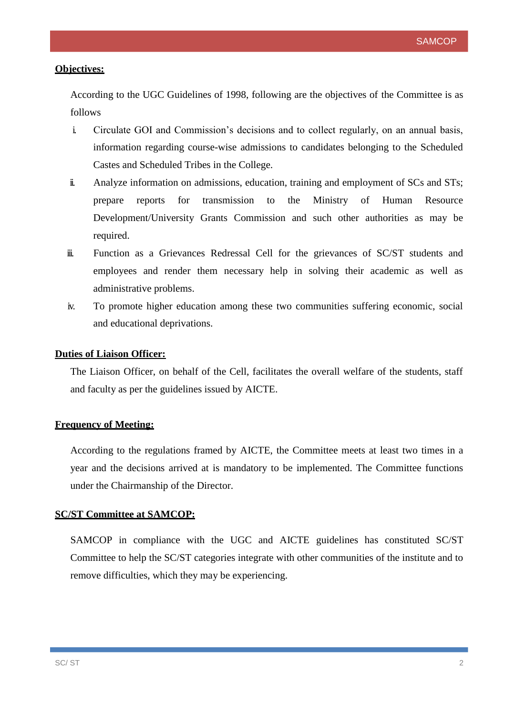#### **Objectives:**

According to the UGC Guidelines of 1998, following are the objectives of the Committee is as follows

- i. Circulate GOI and Commission's decisions and to collect regularly, on an annual basis, information regarding course-wise admissions to candidates belonging to the Scheduled Castes and Scheduled Tribes in the College.
- ii. Analyze information on admissions, education, training and employment of SCs and STs; prepare reports for transmission to the Ministry of Human Resource Development/University Grants Commission and such other authorities as may be required.
- iii. Function as a Grievances Redressal Cell for the grievances of SC/ST students and employees and render them necessary help in solving their academic as well as administrative problems.
- iv. To promote higher education among these two communities suffering economic, social and educational deprivations.

#### **Duties of Liaison Officer:**

The Liaison Officer, on behalf of the Cell, facilitates the overall welfare of the students, staff and faculty as per the guidelines issued by AICTE.

#### **Frequency of Meeting:**

According to the regulations framed by AICTE, the Committee meets at least two times in a year and the decisions arrived at is mandatory to be implemented. The Committee functions under the Chairmanship of the Director.

#### **SC/ST Committee at SAMCOP:**

SAMCOP in compliance with the UGC and AICTE guidelines has constituted SC/ST Committee to help the SC/ST categories integrate with other communities of the institute and to remove difficulties, which they may be experiencing.